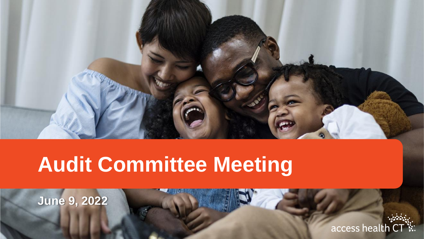

## **Audit Committee Meeting**

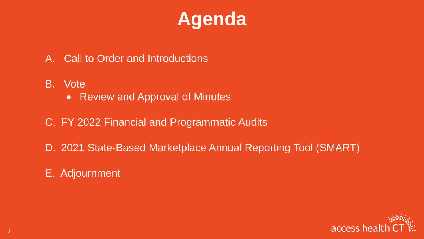

- A. Call to Order and Introductions
- B. Vote
	- Review and Approval of Minutes
- C. FY 2022 Financial and Programmatic Audits
- D. 2021 State-Based Marketplace Annual Reporting Tool (SMART)
- E. Adjournment

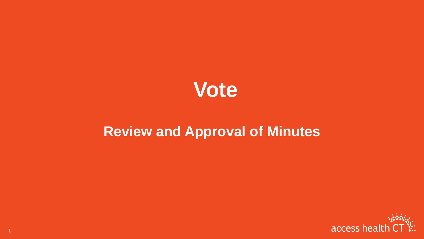

#### **Review and Approval of Minutes**

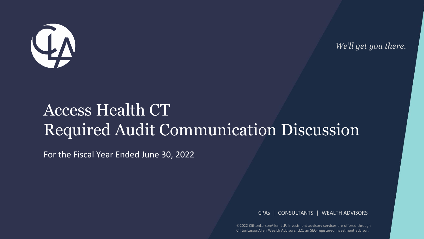

*We'll get you there.*

#### Access Health CT Required Audit Communication Discussion

For the Fiscal Year Ended June 30, 2022

CPAs | CONSULTANTS | WEALTH ADVISORS

©2022 CliftonLarsonAllen LLP. Investment advisory services are offered through CliftonLarsonAllen Wealth Advisors, LLC, an SEC-registered investment advisor.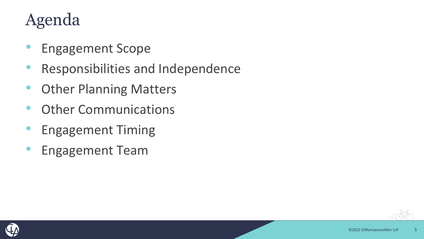### Agenda

- Engagement Scope
- Responsibilities and Independence
- Other Planning Matters
- Other Communications
- Engagement Timing
- Engagement Team



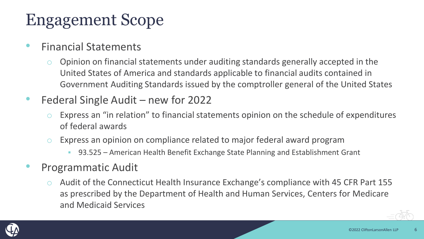#### Engagement Scope

- Financial Statements
	- o Opinion on financial statements under auditing standards generally accepted in the United States of America and standards applicable to financial audits contained in Government Auditing Standards issued by the comptroller general of the United States
- Federal Single Audit new for 2022
	- Express an "in relation" to financial statements opinion on the schedule of expenditures of federal awards
	- Express an opinion on compliance related to major federal award program
		- 93.525 American Health Benefit Exchange State Planning and Establishment Grant
- Programmatic Audit
	- o Audit of the Connecticut Health Insurance Exchange's compliance with 45 CFR Part 155 as prescribed by the Department of Health and Human Services, Centers for Medicare and Medicaid Services

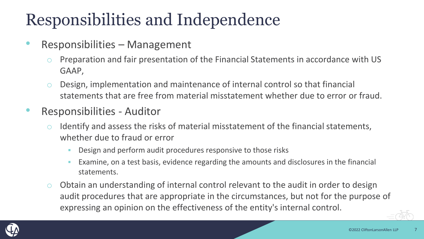## Responsibilities and Independence

- Responsibilities Management
	- o Preparation and fair presentation of the Financial Statements in accordance with US GAAP,
	- o Design, implementation and maintenance of internal control so that financial statements that are free from material misstatement whether due to error or fraud.
- Responsibilities Auditor
	- $\circ$  Identify and assess the risks of material misstatement of the financial statements, whether due to fraud or error
		- Design and perform audit procedures responsive to those risks
		- Examine, on a test basis, evidence regarding the amounts and disclosures in the financial statements.
	- $\circ$  Obtain an understanding of internal control relevant to the audit in order to design audit procedures that are appropriate in the circumstances, but not for the purpose of expressing an opinion on the effectiveness of the entity's internal control.

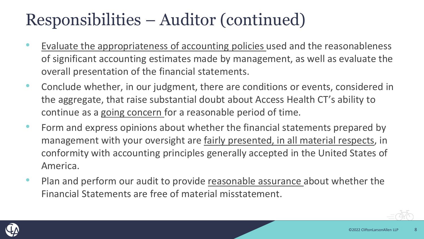### Responsibilities – Auditor (continued)

- Evaluate the appropriateness of accounting policies used and the reasonableness of significant accounting estimates made by management, as well as evaluate the overall presentation of the financial statements.
- Conclude whether, in our judgment, there are conditions or events, considered in the aggregate, that raise substantial doubt about Access Health CT's ability to continue as a going concern for a reasonable period of time.
- Form and express opinions about whether the financial statements prepared by management with your oversight are fairly presented, in all material respects, in conformity with accounting principles generally accepted in the United States of America.
- Plan and perform our audit to provide reasonable assurance about whether the Financial Statements are free of material misstatement.

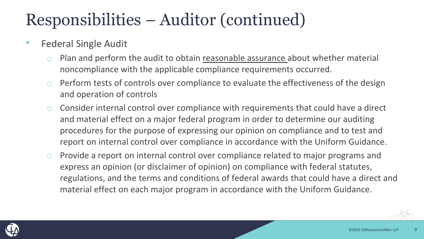#### Responsibilities – Auditor (continued)

- Federal Single Audit
	- Plan and perform the audit to obtain reasonable assurance about whether material noncompliance with the applicable compliance requirements occurred.
	- o Perform tests of controls over compliance to evaluate the effectiveness of the design and operation of controls
	- o Consider internal control over compliance with requirements that could have a direct and material effect on a major federal program in order to determine our auditing procedures for the purpose of expressing our opinion on compliance and to test and report on internal control over compliance in accordance with the Uniform Guidance.
	- o Provide a report on internal control over compliance related to major programs and express an opinion (or disclaimer of opinion) on compliance with federal statutes, regulations, and the terms and conditions of federal awards that could have a direct and material effect on each major program in accordance with the Uniform Guidance.

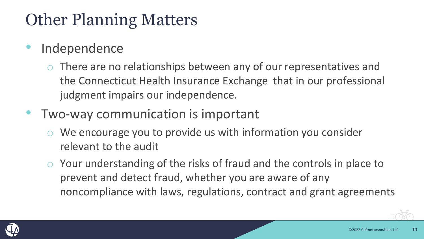## Other Planning Matters

- **Independence** 
	- There are no relationships between any of our representatives and the Connecticut Health Insurance Exchange that in our professional judgment impairs our independence.
- Two-way communication is important
	- We encourage you to provide us with information you consider relevant to the audit
	- o Your understanding of the risks of fraud and the controls in place to prevent and detect fraud, whether you are aware of any noncompliance with laws, regulations, contract and grant agreements

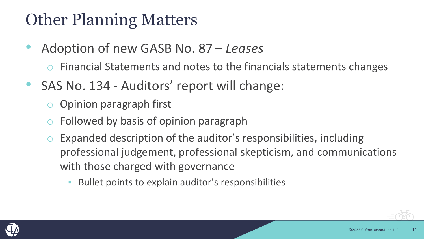#### Other Planning Matters

• Adoption of new GASB No. 87 – *Leases*

Financial Statements and notes to the financials statements changes

- SAS No. 134 Auditors' report will change:
	- o Opinion paragraph first
	- Followed by basis of opinion paragraph
	- Expanded description of the auditor's responsibilities, including professional judgement, professional skepticism, and communications with those charged with governance
		- Bullet points to explain auditor's responsibilities

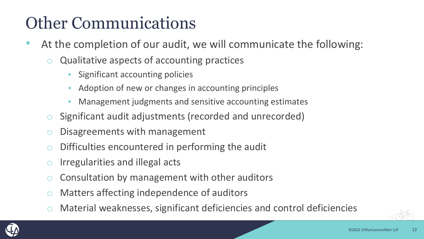## Other Communications

- At the completion of our audit, we will communicate the following:
	- Qualitative aspects of accounting practices
		- Significant accounting policies
		- Adoption of new or changes in accounting principles
		- Management judgments and sensitive accounting estimates
	- o Significant audit adjustments (recorded and unrecorded)
	- o Disagreements with management
	- Difficulties encountered in performing the audit
	- $\circ$  Irregularities and illegal acts
	- Consultation by management with other auditors
	- o Matters affecting independence of auditors
	- Material weaknesses, significant deficiencies and control deficiencies

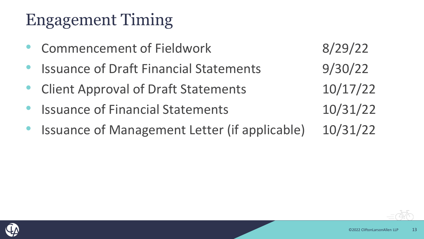### Engagement Timing

- Commencement of Fieldwork 8/29/22
- Issuance of Draft Financial Statements 9/30/22
- Client Approval of Draft Statements 10/17/22
- Issuance of Financial Statements 10/31/22
- 





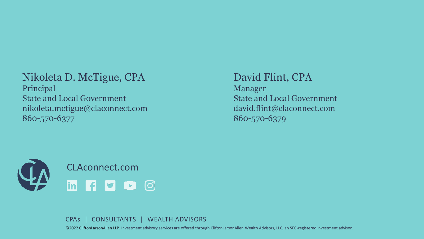#### Nikoleta D. McTigue, CPA

Principal State and Local Government nikoleta.mctigue@claconnect.com 860-570-6377

#### David Flint, CPA

Manager State and Local Government david.flint@claconnect.com 860-570-6379



CPAs | CONSULTANTS | WEALTH ADVISORS

©2022 CliftonLarsonAllen LLP. Investment advisory services are offered through CliftonLarsonAllen Wealth Advisors, LLC, an SEC-registered investment advisor.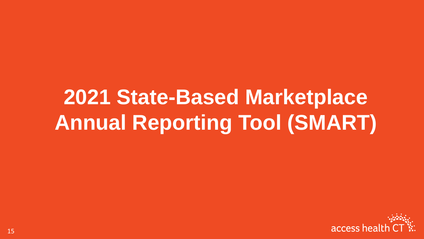# **2021 State-Based Marketplace Annual Reporting Tool (SMART)**